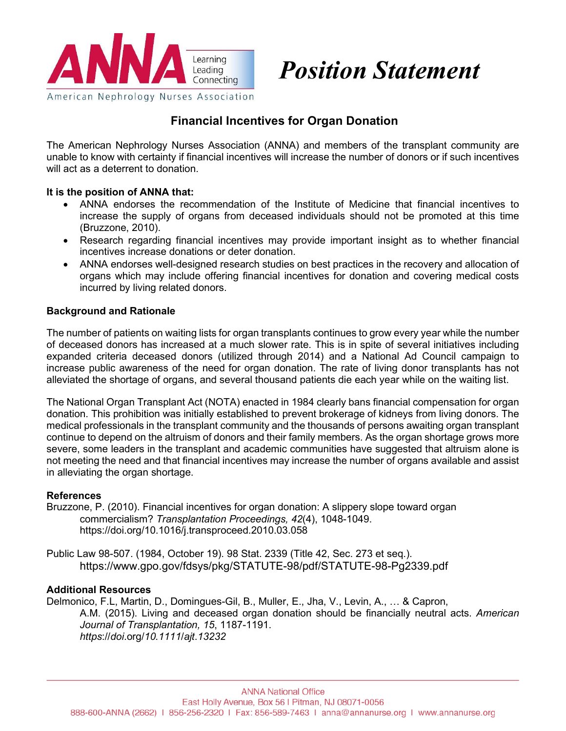

# *Position Statement*

## **Financial Incentives for Organ Donation**

The American Nephrology Nurses Association (ANNA) and members of the transplant community are unable to know with certainty if financial incentives will increase the number of donors or if such incentives will act as a deterrent to donation.

#### **It is the position of ANNA that:**

- ANNA endorses the recommendation of the Institute of Medicine that financial incentives to increase the supply of organs from deceased individuals should not be promoted at this time (Bruzzone, 2010).
- Research regarding financial incentives may provide important insight as to whether financial incentives increase donations or deter donation.
- ANNA endorses well-designed research studies on best practices in the recovery and allocation of organs which may include offering financial incentives for donation and covering medical costs incurred by living related donors.

#### **Background and Rationale**

The number of patients on waiting lists for organ transplants continues to grow every year while the number of deceased donors has increased at a much slower rate. This is in spite of several initiatives including expanded criteria deceased donors (utilized through 2014) and a National Ad Council campaign to increase public awareness of the need for organ donation. The rate of living donor transplants has not alleviated the shortage of organs, and several thousand patients die each year while on the waiting list.

The National Organ Transplant Act (NOTA) enacted in 1984 clearly bans financial compensation for organ donation. This prohibition was initially established to prevent brokerage of kidneys from living donors. The medical professionals in the transplant community and the thousands of persons awaiting organ transplant continue to depend on the altruism of donors and their family members. As the organ shortage grows more severe, some leaders in the transplant and academic communities have suggested that altruism alone is not meeting the need and that financial incentives may increase the number of organs available and assist in alleviating the organ shortage.

### **References**

Bruzzone, P. (2010). Financial incentives for organ donation: A slippery slope toward organ commercialism? *Transplantation Proceedings, 42*(4), 1048-1049. https://doi.org/10.1016/j.transproceed.2010.03.058

Public Law 98-507. (1984, October 19). 98 Stat. 2339 (Title 42, Sec. 273 et seq.). https://www.gpo.gov/fdsys/pkg/STATUTE-98/pdf/STATUTE-98-Pg2339.pdf

#### **Additional Resources**

Delmonico, F.L, Martin, D., Domingues-Gil, B., Muller, E., Jha, V., Levin, A., … & Capron, A.M. (2015). Living and deceased organ donation should be financially neutral acts. *American Journal of Transplantation, 15*, 1187-1191. *https*://*doi*.org/*10.1111*/*ajt*.*13232*